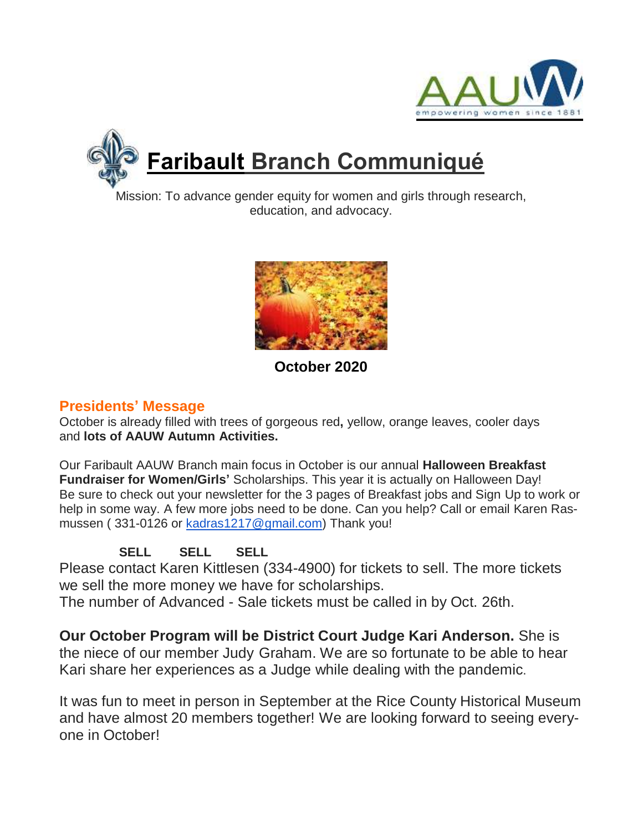



# **Faribault Branch Communiqué**

Mission: To advance gender equity for women and girls through research, education, and advocacy.



**October 2020**

## **Presidents' Message**

October is already filled with trees of gorgeous red**,** yellow, orange leaves, cooler days and **lots of AAUW Autumn Activities.**

Our Faribault AAUW Branch main focus in October is our annual **Halloween Breakfast Fundraiser for Women/Girls'** Scholarships. This year it is actually on Halloween Day! Be sure to check out your newsletter for the 3 pages of Breakfast jobs and Sign Up to work or help in some way. A few more jobs need to be done. Can you help? Call or email Karen Rasmussen ( 331-0126 or [kadras1217@gmail.com\)](mailto:kadras1217@gmail.com) Thank you!

**SELL SELL SELL**

Please contact Karen Kittlesen (334-4900) for tickets to sell. The more tickets we sell the more money we have for scholarships.

The number of Advanced - Sale tickets must be called in by Oct. 26th.

**Our October Program will be District Court Judge Kari Anderson.** She is the niece of our member Judy Graham. We are so fortunate to be able to hear Kari share her experiences as a Judge while dealing with the pandemic.

It was fun to meet in person in September at the Rice County Historical Museum and have almost 20 members together! We are looking forward to seeing everyone in October!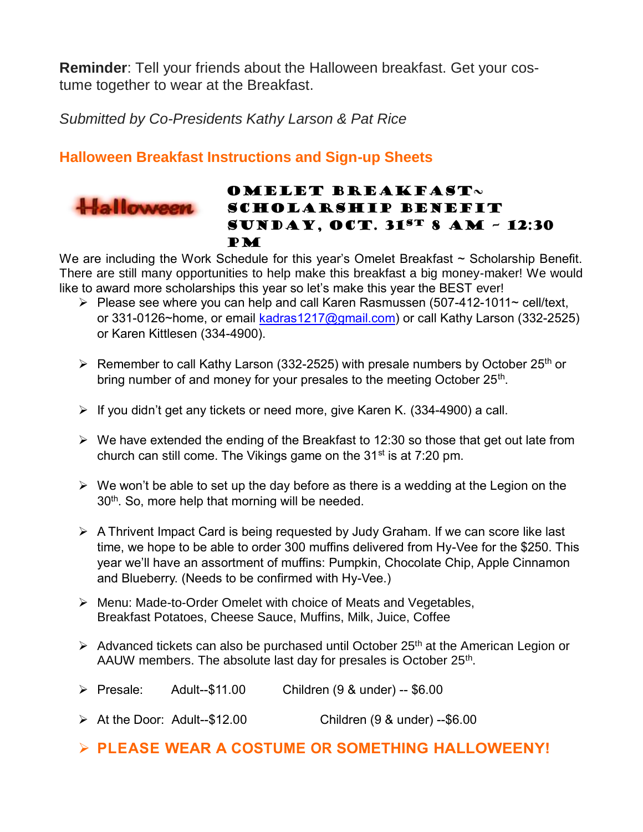**Reminder**: Tell your friends about the Halloween breakfast. Get your costume together to wear at the Breakfast.

*Submitted by Co-Presidents Kathy Larson & Pat Rice*

## **Halloween Breakfast Instructions and Sign-up Sheets**



#### OMELET BREAKFAST $\sim$ SCHOLARSHIP BENEFIT Sunday, Oct. 31st 8 am – 12:30 PM

We are including the Work Schedule for this year's Omelet Breakfast ~ Scholarship Benefit. There are still many opportunities to help make this breakfast a big money-maker! We would like to award more scholarships this year so let's make this year the BEST ever!

- $\triangleright$  Please see where you can help and call Karen Rasmussen (507-412-1011~ cell/text, or 331-0126~home, or email [kadras1217@gmail.com\)](https://d.docs.live.net/ce6dd0c55ddad896/Documents/AAUW/kadras1217@gmail.com) or call Kathy Larson (332-2525) or Karen Kittlesen (334-4900).
- Exmember to call Kathy Larson (332-2525) with presale numbers by October 25<sup>th</sup> or bring number of and money for your presales to the meeting October 25<sup>th</sup>.
- $\triangleright$  If you didn't get any tickets or need more, give Karen K. (334-4900) a call.
- $\triangleright$  We have extended the ending of the Breakfast to 12:30 so those that get out late from church can still come. The Vikings game on the 31<sup>st</sup> is at 7:20 pm.
- $\triangleright$  We won't be able to set up the day before as there is a wedding at the Legion on the 30<sup>th</sup>. So, more help that morning will be needed.
- $\triangleright$  A Thrivent Impact Card is being requested by Judy Graham. If we can score like last time, we hope to be able to order 300 muffins delivered from Hy-Vee for the \$250. This year we'll have an assortment of muffins: Pumpkin, Chocolate Chip, Apple Cinnamon and Blueberry. (Needs to be confirmed with Hy-Vee.)
- Menu: Made-to-Order Omelet with choice of Meats and Vegetables, Breakfast Potatoes, Cheese Sauce, Muffins, Milk, Juice, Coffee
- $\triangleright$  Advanced tickets can also be purchased until October 25<sup>th</sup> at the American Legion or AAUW members. The absolute last day for presales is October 25<sup>th</sup>.
- Presale: Adult--\$11.00 Children (9 & under) -- \$6.00
- At the Door: Adult--\$12.00 Children (9 & under) --\$6.00
- **PLEASE WEAR A COSTUME OR SOMETHING HALLOWEENY!**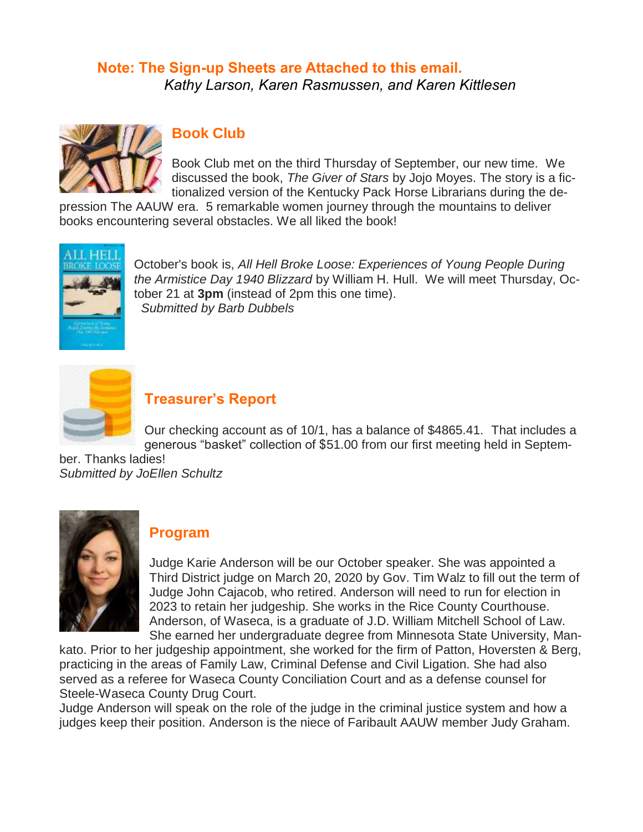#### **Note: The Sign-up Sheets are Attached to this email.** *Kathy Larson, Karen Rasmussen, and Karen Kittlesen*



## **Book Club**

Book Club met on the third Thursday of September, our new time. We discussed the book, *The Giver of Stars* by Jojo Moyes. The story is a fictionalized version of the Kentucky Pack Horse Librarians during the de-

pression The AAUW era. 5 remarkable women journey through the mountains to deliver books encountering several obstacles. We all liked the book!



October's book is, *All Hell Broke Loose: Experiences of Young People During the Armistice Day 1940 Blizzard* by William H. Hull. We will meet Thursday, October 21 at **3pm** (instead of 2pm this one time).  *Submitted by Barb Dubbels*



#### **Treasurer's Report**

Our checking account as of 10/1, has a balance of \$4865.41. That includes a generous "basket" collection of \$51.00 from our first meeting held in Septem-

ber. Thanks ladies! *Submitted by JoEllen Schultz*



#### **Program**

Judge Karie Anderson will be our October speaker. She was appointed a Third District judge on March 20, 2020 by Gov. Tim Walz to fill out the term of Judge John Cajacob, who retired. Anderson will need to run for election in 2023 to retain her judgeship. She works in the Rice County Courthouse. Anderson, of Waseca, is a graduate of J.D. William Mitchell School of Law. She earned her undergraduate degree from Minnesota State University, Man-

kato. Prior to her judgeship appointment, she worked for the firm of Patton, Hoversten & Berg, practicing in the areas of Family Law, Criminal Defense and Civil Ligation. She had also served as a referee for Waseca County Conciliation Court and as a defense counsel for Steele-Waseca County Drug Court.

Judge Anderson will speak on the role of the judge in the criminal justice system and how a judges keep their position. Anderson is the niece of Faribault AAUW member Judy Graham.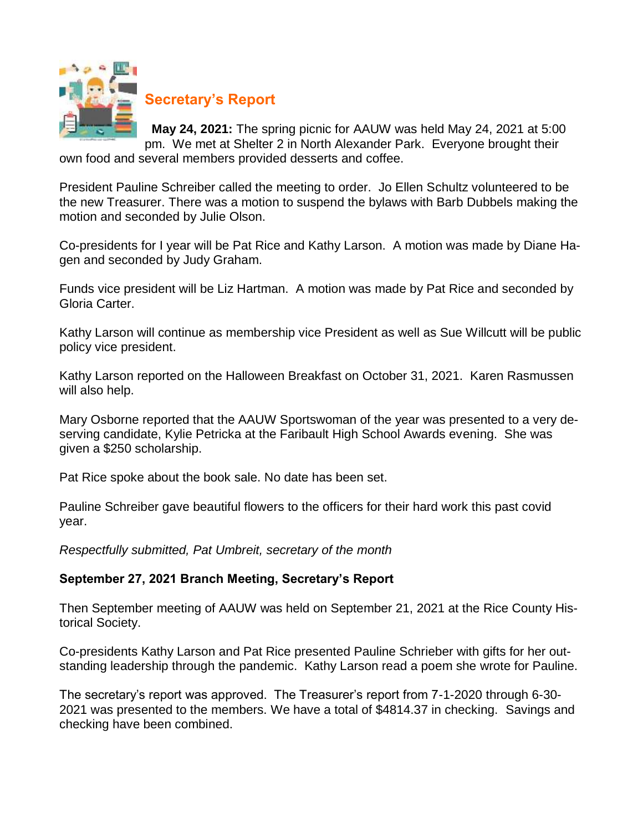

## **Secretary's Report**

**May 24, 2021:** The spring picnic for AAUW was held May 24, 2021 at 5:00 pm. We met at Shelter 2 in North Alexander Park. Everyone brought their

own food and several members provided desserts and coffee.

President Pauline Schreiber called the meeting to order. Jo Ellen Schultz volunteered to be the new Treasurer. There was a motion to suspend the bylaws with Barb Dubbels making the motion and seconded by Julie Olson.

Co-presidents for I year will be Pat Rice and Kathy Larson. A motion was made by Diane Hagen and seconded by Judy Graham.

Funds vice president will be Liz Hartman. A motion was made by Pat Rice and seconded by Gloria Carter.

Kathy Larson will continue as membership vice President as well as Sue Willcutt will be public policy vice president.

Kathy Larson reported on the Halloween Breakfast on October 31, 2021. Karen Rasmussen will also help.

Mary Osborne reported that the AAUW Sportswoman of the year was presented to a very deserving candidate, Kylie Petricka at the Faribault High School Awards evening. She was given a \$250 scholarship.

Pat Rice spoke about the book sale. No date has been set.

Pauline Schreiber gave beautiful flowers to the officers for their hard work this past covid year.

*Respectfully submitted, Pat Umbreit, secretary of the month*

#### **September 27, 2021 Branch Meeting, Secretary's Report**

Then September meeting of AAUW was held on September 21, 2021 at the Rice County Historical Society.

Co-presidents Kathy Larson and Pat Rice presented Pauline Schrieber with gifts for her outstanding leadership through the pandemic. Kathy Larson read a poem she wrote for Pauline.

The secretary's report was approved. The Treasurer's report from 7-1-2020 through 6-30- 2021 was presented to the members. We have a total of \$4814.37 in checking. Savings and checking have been combined.